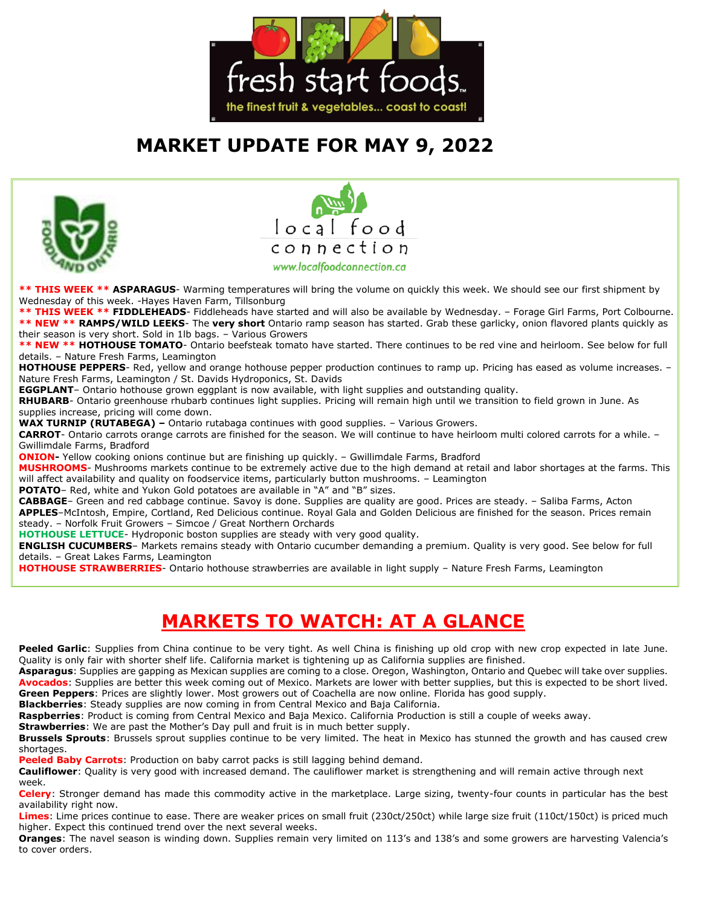

# **MARKET UPDATE FOR MAY 9, 2022**





**\*\* THIS WEEK \*\* ASPARAGUS**- Warming temperatures will bring the volume on quickly this week. We should see our first shipment by Wednesday of this week. -Hayes Haven Farm, Tillsonburg

**\*\* THIS WEEK \*\* FIDDLEHEADS**- Fiddleheads have started and will also be available by Wednesday. – Forage Girl Farms, Port Colbourne. **\*\* NEW \*\* RAMPS/WILD LEEKS**- The **very short** Ontario ramp season has started. Grab these garlicky, onion flavored plants quickly as their season is very short. Sold in 1lb bags. – Various Growers

\*\* NEW \*\* HOTHOUSE TOMATO- Ontario beefsteak tomato have started. There continues to be red vine and heirloom. See below for full details. – Nature Fresh Farms, Leamington

**HOTHOUSE PEPPERS**- Red, yellow and orange hothouse pepper production continues to ramp up. Pricing has eased as volume increases. – Nature Fresh Farms, Leamington / St. Davids Hydroponics, St. Davids

**EGGPLANT**– Ontario hothouse grown eggplant is now available, with light supplies and outstanding quality.

**RHUBARB**- Ontario greenhouse rhubarb continues light supplies. Pricing will remain high until we transition to field grown in June. As supplies increase, pricing will come down.

**WAX TURNIP (RUTABEGA) –** Ontario rutabaga continues with good supplies. – Various Growers.

**CARROT**- Ontario carrots orange carrots are finished for the season. We will continue to have heirloom multi colored carrots for a while. – Gwillimdale Farms, Bradford

**ONION-** Yellow cooking onions continue but are finishing up quickly. – Gwillimdale Farms, Bradford

**MUSHROOMS**- Mushrooms markets continue to be extremely active due to the high demand at retail and labor shortages at the farms. This will affect availability and quality on foodservice items, particularly button mushrooms. – Leamington

**POTATO**– Red, white and Yukon Gold potatoes are available in "A" and "B" sizes.

**CABBAGE**– Green and red cabbage continue. Savoy is done. Supplies are quality are good. Prices are steady. – Saliba Farms, Acton **APPLES**–McIntosh, Empire, Cortland, Red Delicious continue. Royal Gala and Golden Delicious are finished for the season. Prices remain steady. – Norfolk Fruit Growers – Simcoe / Great Northern Orchards

**HOTHOUSE LETTUCE**- Hydroponic boston supplies are steady with very good quality.

**ENGLISH CUCUMBERS**– Markets remains steady with Ontario cucumber demanding a premium. Quality is very good. See below for full details. – Great Lakes Farms, Leamington

**HOTHOUSE STRAWBERRIES**- Ontario hothouse strawberries are available in light supply – Nature Fresh Farms, Leamington

# **MARKETS TO WATCH: AT A GLANCE**

Peeled Garlic: Supplies from China continue to be very tight. As well China is finishing up old crop with new crop expected in late June. Quality is only fair with shorter shelf life. California market is tightening up as California supplies are finished.

**Asparagus**: Supplies are gapping as Mexican supplies are coming to a close. Oregon, Washington, Ontario and Quebec will take over supplies. **Avocados**: Supplies are better this week coming out of Mexico. Markets are lower with better supplies, but this is expected to be short lived. **Green Peppers**: Prices are slightly lower. Most growers out of Coachella are now online. Florida has good supply.

**Blackberries**: Steady supplies are now coming in from Central Mexico and Baja California.

**Raspberries**: Product is coming from Central Mexico and Baja Mexico. California Production is still a couple of weeks away.

**Strawberries**: We are past the Mother's Day pull and fruit is in much better supply.

**Brussels Sprouts**: Brussels sprout supplies continue to be very limited. The heat in Mexico has stunned the growth and has caused crew shortages.

**Peeled Baby Carrots**: Production on baby carrot packs is still lagging behind demand.

**Cauliflower**: Quality is very good with increased demand. The cauliflower market is strengthening and will remain active through next week.

**Celery**: Stronger demand has made this commodity active in the marketplace. Large sizing, twenty-four counts in particular has the best availability right now.

**Limes**: Lime prices continue to ease. There are weaker prices on small fruit (230ct/250ct) while large size fruit (110ct/150ct) is priced much higher. Expect this continued trend over the next several weeks.

**Oranges**: The navel season is winding down. Supplies remain very limited on 113's and 138's and some growers are harvesting Valencia's to cover orders.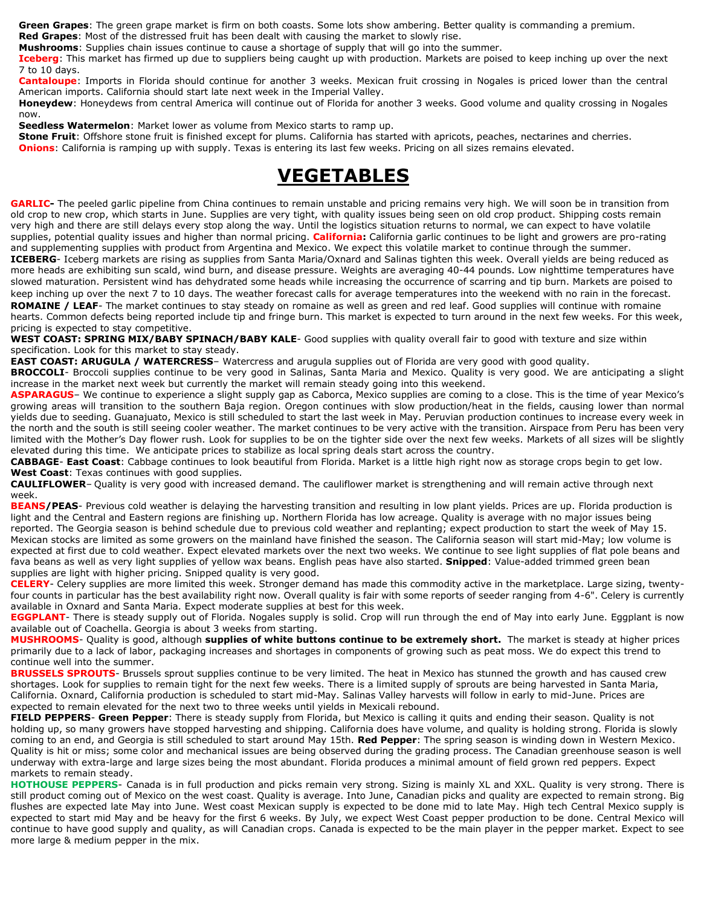**Green Grapes**: The green grape market is firm on both coasts. Some lots show ambering. Better quality is commanding a premium.

**Red Grapes**: Most of the distressed fruit has been dealt with causing the market to slowly rise.

**Mushrooms**: Supplies chain issues continue to cause a shortage of supply that will go into the summer.

**Iceberg**: This market has firmed up due to suppliers being caught up with production. Markets are poised to keep inching up over the next 7 to 10 days.

**Cantaloupe**: Imports in Florida should continue for another 3 weeks. Mexican fruit crossing in Nogales is priced lower than the central American imports. California should start late next week in the Imperial Valley.

**Honeydew**: Honeydews from central America will continue out of Florida for another 3 weeks. Good volume and quality crossing in Nogales now.

**Seedless Watermelon**: Market lower as volume from Mexico starts to ramp up.

**Stone Fruit**: Offshore stone fruit is finished except for plums. California has started with apricots, peaches, nectarines and cherries. **Onions**: California is ramping up with supply. Texas is entering its last few weeks. Pricing on all sizes remains elevated.

## **VEGETABLES**

**GARLIC-** The peeled garlic pipeline from China continues to remain unstable and pricing remains very high. We will soon be in transition from old crop to new crop, which starts in June. Supplies are very tight, with quality issues being seen on old crop product. Shipping costs remain very high and there are still delays every stop along the way. Until the logistics situation returns to normal, we can expect to have volatile supplies, potential quality issues and higher than normal pricing. **California:** California garlic continues to be light and growers are pro-rating and supplementing supplies with product from Argentina and Mexico. We expect this volatile market to continue through the summer. **ICEBERG**- Iceberg markets are rising as supplies from Santa Maria/Oxnard and Salinas tighten this week. Overall yields are being reduced as more heads are exhibiting sun scald, wind burn, and disease pressure. Weights are averaging 40-44 pounds. Low nighttime temperatures have slowed maturation. Persistent wind has dehydrated some heads while increasing the occurrence of scarring and tip burn. Markets are poised to keep inching up over the next 7 to 10 days. The weather forecast calls for average temperatures into the weekend with no rain in the forecast. **ROMAINE / LEAF**- The market continues to stay steady on romaine as well as green and red leaf. Good supplies will continue with romaine

hearts. Common defects being reported include tip and fringe burn. This market is expected to turn around in the next few weeks. For this week, pricing is expected to stay competitive.

**WEST COAST: SPRING MIX/BABY SPINACH/BABY KALE**- Good supplies with quality overall fair to good with texture and size within specification. Look for this market to stay steady.

**EAST COAST: ARUGULA / WATERCRESS**– Watercress and arugula supplies out of Florida are very good with good quality.

**BROCCOLI**- Broccoli supplies continue to be very good in Salinas, Santa Maria and Mexico. Quality is very good. We are anticipating a slight increase in the market next week but currently the market will remain steady going into this weekend.

ASPARAGUS- We continue to experience a slight supply gap as Caborca, Mexico supplies are coming to a close. This is the time of year Mexico's growing areas will transition to the southern Baja region. Oregon continues with slow production/heat in the fields, causing lower than normal yields due to seeding. Guanajuato, Mexico is still scheduled to start the last week in May. Peruvian production continues to increase every week in the north and the south is still seeing cooler weather. The market continues to be very active with the transition. Airspace from Peru has been very limited with the Mother's Day flower rush. Look for supplies to be on the tighter side over the next few weeks. Markets of all sizes will be slightly elevated during this time. We anticipate prices to stabilize as local spring deals start across the country.

**CABBAGE**- **East Coast**: Cabbage continues to look beautiful from Florida. Market is a little high right now as storage crops begin to get low. **West Coast**: Texas continues with good supplies.

**CAULIFLOWER**– Quality is very good with increased demand. The cauliflower market is strengthening and will remain active through next week.

**BEANS/PEAS**- Previous cold weather is delaying the harvesting transition and resulting in low plant yields. Prices are up. Florida production is light and the Central and Eastern regions are finishing up. Northern Florida has low acreage. Quality is average with no major issues being reported. The Georgia season is behind schedule due to previous cold weather and replanting; expect production to start the week of May 15. Mexican stocks are limited as some growers on the mainland have finished the season. The California season will start mid-May; low volume is expected at first due to cold weather. Expect elevated markets over the next two weeks. We continue to see light supplies of flat pole beans and fava beans as well as very light supplies of yellow wax beans. English peas have also started. **Snipped**: Value-added trimmed green bean supplies are light with higher pricing. Snipped quality is very good.

**CELERY**- Celery supplies are more limited this week. Stronger demand has made this commodity active in the marketplace. Large sizing, twentyfour counts in particular has the best availability right now. Overall quality is fair with some reports of seeder ranging from 4-6". Celery is currently available in Oxnard and Santa Maria. Expect moderate supplies at best for this week.

**EGGPLANT**- There is steady supply out of Florida. Nogales supply is solid. Crop will run through the end of May into early June. Eggplant is now available out of Coachella. Georgia is about 3 weeks from starting.

**MUSHROOMS**- Quality is good, although **supplies of white buttons continue to be extremely short.** The market is steady at higher prices primarily due to a lack of labor, packaging increases and shortages in components of growing such as peat moss. We do expect this trend to continue well into the summer.

**BRUSSELS SPROUTS**- Brussels sprout supplies continue to be very limited. The heat in Mexico has stunned the growth and has caused crew shortages. Look for supplies to remain tight for the next few weeks. There is a limited supply of sprouts are being harvested in Santa Maria, California. Oxnard, California production is scheduled to start mid-May. Salinas Valley harvests will follow in early to mid-June. Prices are expected to remain elevated for the next two to three weeks until yields in Mexicali rebound.

**FIELD PEPPERS**- **Green Pepper**: There is steady supply from Florida, but Mexico is calling it quits and ending their season. Quality is not holding up, so many growers have stopped harvesting and shipping. California does have volume, and quality is holding strong. Florida is slowly coming to an end, and Georgia is still scheduled to start around May 15th. **Red Pepper**: The spring season is winding down in Western Mexico. Quality is hit or miss; some color and mechanical issues are being observed during the grading process. The Canadian greenhouse season is well underway with extra-large and large sizes being the most abundant. Florida produces a minimal amount of field grown red peppers. Expect markets to remain steady.

**HOTHOUSE PEPPERS**- Canada is in full production and picks remain very strong. Sizing is mainly XL and XXL. Quality is very strong. There is still product coming out of Mexico on the west coast. Quality is average. Into June, Canadian picks and quality are expected to remain strong. Big flushes are expected late May into June. West coast Mexican supply is expected to be done mid to late May. High tech Central Mexico supply is expected to start mid May and be heavy for the first 6 weeks. By July, we expect West Coast pepper production to be done. Central Mexico will continue to have good supply and quality, as will Canadian crops. Canada is expected to be the main player in the pepper market. Expect to see more large & medium pepper in the mix.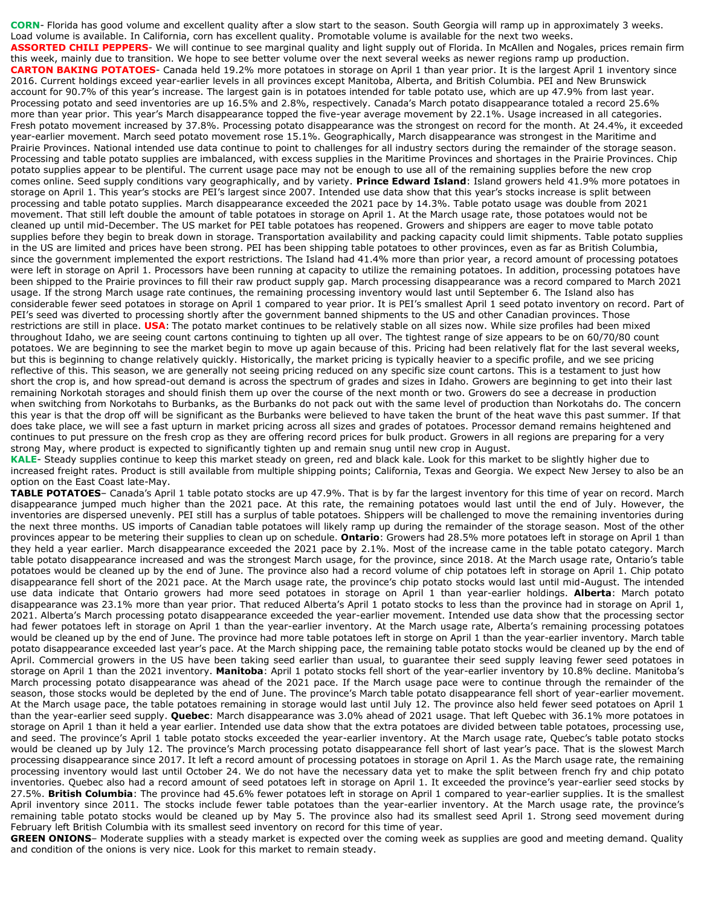**CORN**- Florida has good volume and excellent quality after a slow start to the season. South Georgia will ramp up in approximately 3 weeks. Load volume is available. In California, corn has excellent quality. Promotable volume is available for the next two weeks. **ASSORTED CHILI PEPPERS**- We will continue to see marginal quality and light supply out of Florida. In McAllen and Nogales, prices remain firm this week, mainly due to transition. We hope to see better volume over the next several weeks as newer regions ramp up production. **CARTON BAKING POTATOES**- Canada held 19.2% more potatoes in storage on April 1 than year prior. It is the largest April 1 inventory since 2016. Current holdings exceed year-earlier levels in all provinces except Manitoba, Alberta, and British Columbia. PEI and New Brunswick account for 90.7% of this year's increase. The largest gain is in potatoes intended for table potato use, which are up 47.9% from last year. Processing potato and seed inventories are up 16.5% and 2.8%, respectively. Canada's March potato disappearance totaled a record 25.6% more than year prior. This year's March disappearance topped the five-year average movement by 22.1%. Usage increased in all categories. Fresh potato movement increased by 37.8%. Processing potato disappearance was the strongest on record for the month. At 24.4%, it exceeded year-earlier movement. March seed potato movement rose 15.1%. Geographically, March disappearance was strongest in the Maritime and Prairie Provinces. National intended use data continue to point to challenges for all industry sectors during the remainder of the storage season. Processing and table potato supplies are imbalanced, with excess supplies in the Maritime Provinces and shortages in the Prairie Provinces. Chip potato supplies appear to be plentiful. The current usage pace may not be enough to use all of the remaining supplies before the new crop comes online. Seed supply conditions vary geographically, and by variety. **Prince Edward Island**: Island growers held 41.9% more potatoes in storage on April 1. This year's stocks are PEI's largest since 2007. Intended use data show that this year's stocks increase is split between processing and table potato supplies. March disappearance exceeded the 2021 pace by 14.3%. Table potato usage was double from 2021 movement. That still left double the amount of table potatoes in storage on April 1. At the March usage rate, those potatoes would not be cleaned up until mid-December. The US market for PEI table potatoes has reopened. Growers and shippers are eager to move table potato supplies before they begin to break down in storage. Transportation availability and packing capacity could limit shipments. Table potato supplies in the US are limited and prices have been strong. PEI has been shipping table potatoes to other provinces, even as far as British Columbia, since the government implemented the export restrictions. The Island had 41.4% more than prior year, a record amount of processing potatoes were left in storage on April 1. Processors have been running at capacity to utilize the remaining potatoes. In addition, processing potatoes have been shipped to the Prairie provinces to fill their raw product supply gap. March processing disappearance was a record compared to March 2021 usage. If the strong March usage rate continues, the remaining processing inventory would last until September 6. The Island also has considerable fewer seed potatoes in storage on April 1 compared to year prior. It is PEI's smallest April 1 seed potato inventory on record. Part of PEI's seed was diverted to processing shortly after the government banned shipments to the US and other Canadian provinces. Those restrictions are still in place. **USA**: The potato market continues to be relatively stable on all sizes now. While size profiles had been mixed throughout Idaho, we are seeing count cartons continuing to tighten up all over. The tightest range of size appears to be on 60/70/80 count potatoes. We are beginning to see the market begin to move up again because of this. Pricing had been relatively flat for the last several weeks, but this is beginning to change relatively quickly. Historically, the market pricing is typically heavier to a specific profile, and we see pricing reflective of this. This season, we are generally not seeing pricing reduced on any specific size count cartons. This is a testament to just how short the crop is, and how spread-out demand is across the spectrum of grades and sizes in Idaho. Growers are beginning to get into their last remaining Norkotah storages and should finish them up over the course of the next month or two. Growers do see a decrease in production when switching from Norkotahs to Burbanks, as the Burbanks do not pack out with the same level of production than Norkotahs do. The concern this year is that the drop off will be significant as the Burbanks were believed to have taken the brunt of the heat wave this past summer. If that does take place, we will see a fast upturn in market pricing across all sizes and grades of potatoes. Processor demand remains heightened and continues to put pressure on the fresh crop as they are offering record prices for bulk product. Growers in all regions are preparing for a very strong May, where product is expected to significantly tighten up and remain snug until new crop in August.

**KALE**- Steady supplies continue to keep this market steady on green, red and black kale. Look for this market to be slightly higher due to increased freight rates. Product is still available from multiple shipping points; California, Texas and Georgia. We expect New Jersey to also be an option on the East Coast late-May.

**TABLE POTATOES**– Canada's April 1 table potato stocks are up 47.9%. That is by far the largest inventory for this time of year on record. March disappearance jumped much higher than the 2021 pace. At this rate, the remaining potatoes would last until the end of July. However, the inventories are dispersed unevenly. PEI still has a surplus of table potatoes. Shippers will be challenged to move the remaining inventories during the next three months. US imports of Canadian table potatoes will likely ramp up during the remainder of the storage season. Most of the other provinces appear to be metering their supplies to clean up on schedule. **Ontario**: Growers had 28.5% more potatoes left in storage on April 1 than they held a year earlier. March disappearance exceeded the 2021 pace by 2.1%. Most of the increase came in the table potato category. March table potato disappearance increased and was the strongest March usage, for the province, since 2018. At the March usage rate, Ontario's table potatoes would be cleaned up by the end of June. The province also had a record volume of chip potatoes left in storage on April 1. Chip potato disappearance fell short of the 2021 pace. At the March usage rate, the province's chip potato stocks would last until mid-August. The intended use data indicate that Ontario growers had more seed potatoes in storage on April 1 than year-earlier holdings. **Alberta**: March potato disappearance was 23.1% more than year prior. That reduced Alberta's April 1 potato stocks to less than the province had in storage on April 1, 2021. Alberta's March processing potato disappearance exceeded the year-earlier movement. Intended use data show that the processing sector had fewer potatoes left in storage on April 1 than the year-earlier inventory. At the March usage rate, Alberta's remaining processing potatoes would be cleaned up by the end of June. The province had more table potatoes left in storge on April 1 than the year-earlier inventory. March table potato disappearance exceeded last year's pace. At the March shipping pace, the remaining table potato stocks would be cleaned up by the end of April. Commercial growers in the US have been taking seed earlier than usual, to guarantee their seed supply leaving fewer seed potatoes in storage on April 1 than the 2021 inventory. **Manitoba**: April 1 potato stocks fell short of the year-earlier inventory by 10.8% decline. Manitoba's March processing potato disappearance was ahead of the 2021 pace. If the March usage pace were to continue through the remainder of the season, those stocks would be depleted by the end of June. The province's March table potato disappearance fell short of year-earlier movement. At the March usage pace, the table potatoes remaining in storage would last until July 12. The province also held fewer seed potatoes on April 1 than the year-earlier seed supply. **Quebec**: March disappearance was 3.0% ahead of 2021 usage. That left Quebec with 36.1% more potatoes in storage on April 1 than it held a year earlier. Intended use data show that the extra potatoes are divided between table potatoes, processing use, and seed. The province's April 1 table potato stocks exceeded the year-earlier inventory. At the March usage rate, Quebec's table potato stocks would be cleaned up by July 12. The province's March processing potato disappearance fell short of last year's pace. That is the slowest March processing disappearance since 2017. It left a record amount of processing potatoes in storage on April 1. As the March usage rate, the remaining processing inventory would last until October 24. We do not have the necessary data yet to make the split between french fry and chip potato inventories. Quebec also had a record amount of seed potatoes left in storage on April 1. It exceeded the province's year-earlier seed stocks by 27.5%. **British Columbia**: The province had 45.6% fewer potatoes left in storage on April 1 compared to year-earlier supplies. It is the smallest April inventory since 2011. The stocks include fewer table potatoes than the year-earlier inventory. At the March usage rate, the province's remaining table potato stocks would be cleaned up by May 5. The province also had its smallest seed April 1. Strong seed movement during February left British Columbia with its smallest seed inventory on record for this time of year.

**GREEN ONIONS**– Moderate supplies with a steady market is expected over the coming week as supplies are good and meeting demand. Quality and condition of the onions is very nice. Look for this market to remain steady.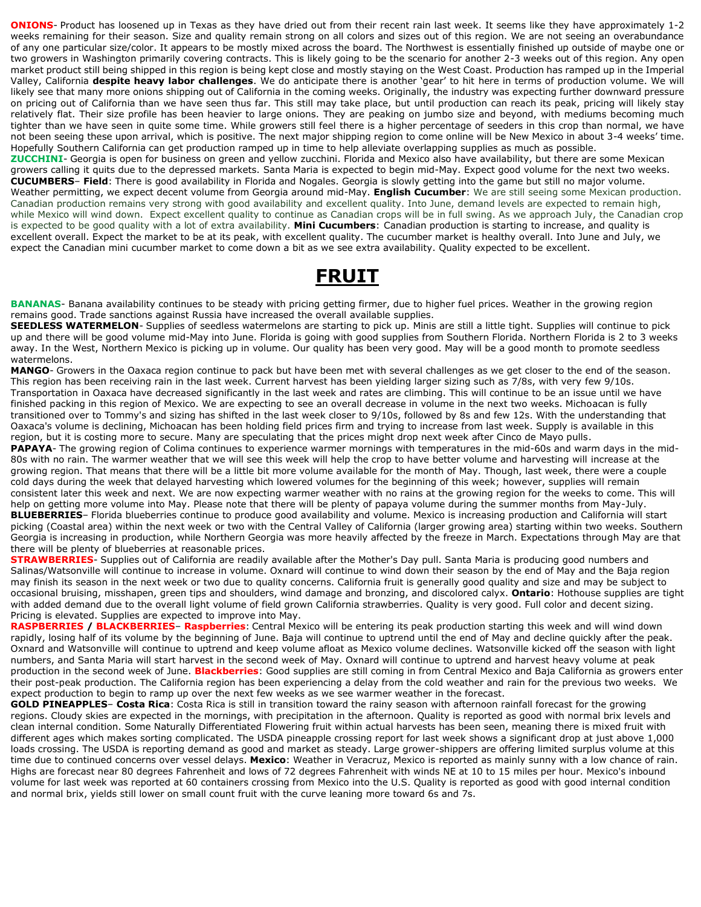**ONIONS**- Product has loosened up in Texas as they have dried out from their recent rain last week. It seems like they have approximately 1-2 weeks remaining for their season. Size and quality remain strong on all colors and sizes out of this region. We are not seeing an overabundance of any one particular size/color. It appears to be mostly mixed across the board. The Northwest is essentially finished up outside of maybe one or two growers in Washington primarily covering contracts. This is likely going to be the scenario for another 2-3 weeks out of this region. Any open market product still being shipped in this region is being kept close and mostly staying on the West Coast. Production has ramped up in the Imperial Valley, California **despite heavy labor challenges**. We do anticipate there is another 'gear' to hit here in terms of production volume. We will likely see that many more onions shipping out of California in the coming weeks. Originally, the industry was expecting further downward pressure on pricing out of California than we have seen thus far. This still may take place, but until production can reach its peak, pricing will likely stay relatively flat. Their size profile has been heavier to large onions. They are peaking on jumbo size and beyond, with mediums becoming much tighter than we have seen in quite some time. While growers still feel there is a higher percentage of seeders in this crop than normal, we have not been seeing these upon arrival, which is positive. The next major shipping region to come online will be New Mexico in about 3-4 weeks' time. Hopefully Southern California can get production ramped up in time to help alleviate overlapping supplies as much as possible. **ZUCCHINI**- Georgia is open for business on green and yellow zucchini. Florida and Mexico also have availability, but there are some Mexican growers calling it quits due to the depressed markets. Santa Maria is expected to begin mid-May. Expect good volume for the next two weeks. **CUCUMBERS**– **Field**: There is good availability in Florida and Nogales. Georgia is slowly getting into the game but still no major volume. Weather permitting, we expect decent volume from Georgia around mid-May. **English Cucumber**: We are still seeing some Mexican production. Canadian production remains very strong with good availability and excellent quality. Into June, demand levels are expected to remain high, while Mexico will wind down. Expect excellent quality to continue as Canadian crops will be in full swing. As we approach July, the Canadian crop is expected to be good quality with a lot of extra availability. **Mini Cucumbers**: Canadian production is starting to increase, and quality is excellent overall. Expect the market to be at its peak, with excellent quality. The cucumber market is healthy overall. Into June and July, we expect the Canadian mini cucumber market to come down a bit as we see extra availability. Quality expected to be excellent.

## **FRUIT**

**BANANAS**- Banana availability continues to be steady with pricing getting firmer, due to higher fuel prices. Weather in the growing region remains good. Trade sanctions against Russia have increased the overall available supplies.

**SEEDLESS WATERMELON**- Supplies of seedless watermelons are starting to pick up. Minis are still a little tight. Supplies will continue to pick up and there will be good volume mid-May into June. Florida is going with good supplies from Southern Florida. Northern Florida is 2 to 3 weeks away. In the West, Northern Mexico is picking up in volume. Our quality has been very good. May will be a good month to promote seedless watermelons.

**MANGO**- Growers in the Oaxaca region continue to pack but have been met with several challenges as we get closer to the end of the season. This region has been receiving rain in the last week. Current harvest has been yielding larger sizing such as 7/8s, with very few 9/10s. Transportation in Oaxaca have decreased significantly in the last week and rates are climbing. This will continue to be an issue until we have finished packing in this region of Mexico. We are expecting to see an overall decrease in volume in the next two weeks. Michoacan is fully transitioned over to Tommy's and sizing has shifted in the last week closer to 9/10s, followed by 8s and few 12s. With the understanding that Oaxaca's volume is declining, Michoacan has been holding field prices firm and trying to increase from last week. Supply is available in this region, but it is costing more to secure. Many are speculating that the prices might drop next week after Cinco de Mayo pulls.

PAPAYA- The growing region of Colima continues to experience warmer mornings with temperatures in the mid-60s and warm days in the mid-80s with no rain. The warmer weather that we will see this week will help the crop to have better volume and harvesting will increase at the growing region. That means that there will be a little bit more volume available for the month of May. Though, last week, there were a couple cold days during the week that delayed harvesting which lowered volumes for the beginning of this week; however, supplies will remain consistent later this week and next. We are now expecting warmer weather with no rains at the growing region for the weeks to come. This will help on getting more volume into May. Please note that there will be plenty of papaya volume during the summer months from May-July. **BLUEBERRIES**– Florida blueberries continue to produce good availability and volume. Mexico is increasing production and California will start picking (Coastal area) within the next week or two with the Central Valley of California (larger growing area) starting within two weeks. Southern Georgia is increasing in production, while Northern Georgia was more heavily affected by the freeze in March. Expectations through May are that there will be plenty of blueberries at reasonable prices.

**STRAWBERRIES**- Supplies out of California are readily available after the Mother's Day pull. Santa Maria is producing good numbers and Salinas/Watsonville will continue to increase in volume. Oxnard will continue to wind down their season by the end of May and the Baja region may finish its season in the next week or two due to quality concerns. California fruit is generally good quality and size and may be subject to occasional bruising, misshapen, green tips and shoulders, wind damage and bronzing, and discolored calyx. **Ontario**: Hothouse supplies are tight with added demand due to the overall light volume of field grown California strawberries. Quality is very good. Full color and decent sizing. Pricing is elevated. Supplies are expected to improve into May.

**RASPBERRIES / BLACKBERRIES**– **Raspberries**: Central Mexico will be entering its peak production starting this week and will wind down rapidly, losing half of its volume by the beginning of June. Baja will continue to uptrend until the end of May and decline quickly after the peak. Oxnard and Watsonville will continue to uptrend and keep volume afloat as Mexico volume declines. Watsonville kicked off the season with light numbers, and Santa Maria will start harvest in the second week of May. Oxnard will continue to uptrend and harvest heavy volume at peak production in the second week of June. **Blackberries**: Good supplies are still coming in from Central Mexico and Baja California as growers enter their post-peak production. The California region has been experiencing a delay from the cold weather and rain for the previous two weeks. We expect production to begin to ramp up over the next few weeks as we see warmer weather in the forecast.

**GOLD PINEAPPLES**– **Costa Rica**: Costa Rica is still in transition toward the rainy season with afternoon rainfall forecast for the growing regions. Cloudy skies are expected in the mornings, with precipitation in the afternoon. Quality is reported as good with normal brix levels and clean internal condition. Some Naturally Differentiated Flowering fruit within actual harvests has been seen, meaning there is mixed fruit with different ages which makes sorting complicated. The USDA pineapple crossing report for last week shows a significant drop at just above 1,000 loads crossing. The USDA is reporting demand as good and market as steady. Large grower-shippers are offering limited surplus volume at this time due to continued concerns over vessel delays. **Mexico**: Weather in Veracruz, Mexico is reported as mainly sunny with a low chance of rain. Highs are forecast near 80 degrees Fahrenheit and lows of 72 degrees Fahrenheit with winds NE at 10 to 15 miles per hour. Mexico's inbound volume for last week was reported at 60 containers crossing from Mexico into the U.S. Quality is reported as good with good internal condition and normal brix, yields still lower on small count fruit with the curve leaning more toward 6s and 7s.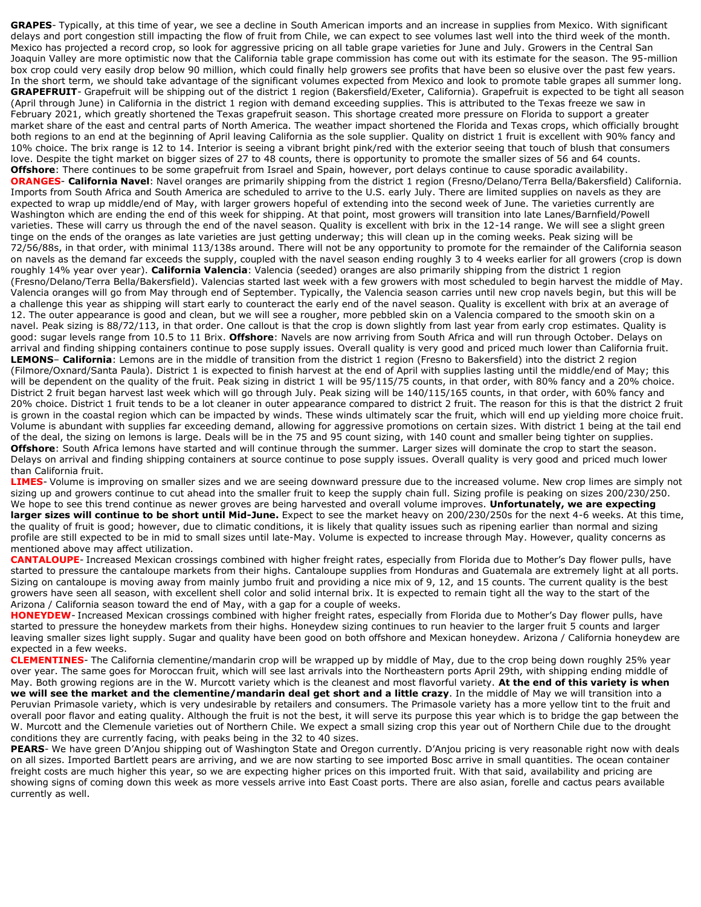**GRAPES**- Typically, at this time of year, we see a decline in South American imports and an increase in supplies from Mexico. With significant delays and port congestion still impacting the flow of fruit from Chile, we can expect to see volumes last well into the third week of the month. Mexico has projected a record crop, so look for aggressive pricing on all table grape varieties for June and July. Growers in the Central San Joaquin Valley are more optimistic now that the California table grape commission has come out with its estimate for the season. The 95-million box crop could very easily drop below 90 million, which could finally help growers see profits that have been so elusive over the past few years. In the short term, we should take advantage of the significant volumes expected from Mexico and look to promote table grapes all summer long. **GRAPEFRUIT**- Grapefruit will be shipping out of the district 1 region (Bakersfield/Exeter, California). Grapefruit is expected to be tight all season (April through June) in California in the district 1 region with demand exceeding supplies. This is attributed to the Texas freeze we saw in February 2021, which greatly shortened the Texas grapefruit season. This shortage created more pressure on Florida to support a greater market share of the east and central parts of North America. The weather impact shortened the Florida and Texas crops, which officially brought both regions to an end at the beginning of April leaving California as the sole supplier. Quality on district 1 fruit is excellent with 90% fancy and 10% choice. The brix range is 12 to 14. Interior is seeing a vibrant bright pink/red with the exterior seeing that touch of blush that consumers love. Despite the tight market on bigger sizes of 27 to 48 counts, there is opportunity to promote the smaller sizes of 56 and 64 counts. **Offshore**: There continues to be some grapefruit from Israel and Spain, however, port delays continue to cause sporadic availability. **ORANGES**- **California Navel**: Navel oranges are primarily shipping from the district 1 region (Fresno/Delano/Terra Bella/Bakersfield) California. Imports from South Africa and South America are scheduled to arrive to the U.S. early July. There are limited supplies on navels as they are expected to wrap up middle/end of May, with larger growers hopeful of extending into the second week of June. The varieties currently are Washington which are ending the end of this week for shipping. At that point, most growers will transition into late Lanes/Barnfield/Powell varieties. These will carry us through the end of the navel season. Quality is excellent with brix in the 12-14 range. We will see a slight green tinge on the ends of the oranges as late varieties are just getting underway; this will clean up in the coming weeks. Peak sizing will be 72/56/88s, in that order, with minimal 113/138s around. There will not be any opportunity to promote for the remainder of the California season on navels as the demand far exceeds the supply, coupled with the navel season ending roughly 3 to 4 weeks earlier for all growers (crop is down roughly 14% year over year). **California Valencia**: Valencia (seeded) oranges are also primarily shipping from the district 1 region (Fresno/Delano/Terra Bella/Bakersfield). Valencias started last week with a few growers with most scheduled to begin harvest the middle of May. Valencia oranges will go from May through end of September. Typically, the Valencia season carries until new crop navels begin, but this will be a challenge this year as shipping will start early to counteract the early end of the navel season. Quality is excellent with brix at an average of 12. The outer appearance is good and clean, but we will see a rougher, more pebbled skin on a Valencia compared to the smooth skin on a navel. Peak sizing is 88/72/113, in that order. One callout is that the crop is down slightly from last year from early crop estimates. Quality is good: sugar levels range from 10.5 to 11 Brix. **Offshore**: Navels are now arriving from South Africa and will run through October. Delays on arrival and finding shipping containers continue to pose supply issues. Overall quality is very good and priced much lower than California fruit. **LEMONS**– **California**: Lemons are in the middle of transition from the district 1 region (Fresno to Bakersfield) into the district 2 region (Filmore/Oxnard/Santa Paula). District 1 is expected to finish harvest at the end of April with supplies lasting until the middle/end of May; this will be dependent on the quality of the fruit. Peak sizing in district 1 will be 95/115/75 counts, in that order, with 80% fancy and a 20% choice. District 2 fruit began harvest last week which will go through July. Peak sizing will be 140/115/165 counts, in that order, with 60% fancy and 20% choice. District 1 fruit tends to be a lot cleaner in outer appearance compared to district 2 fruit. The reason for this is that the district 2 fruit is grown in the coastal region which can be impacted by winds. These winds ultimately scar the fruit, which will end up yielding more choice fruit. Volume is abundant with supplies far exceeding demand, allowing for aggressive promotions on certain sizes. With district 1 being at the tail end of the deal, the sizing on lemons is large. Deals will be in the 75 and 95 count sizing, with 140 count and smaller being tighter on supplies. **Offshore**: South Africa lemons have started and will continue through the summer. Larger sizes will dominate the crop to start the season. Delays on arrival and finding shipping containers at source continue to pose supply issues. Overall quality is very good and priced much lower than California fruit.

**LIMES**- Volume is improving on smaller sizes and we are seeing downward pressure due to the increased volume. New crop limes are simply not sizing up and growers continue to cut ahead into the smaller fruit to keep the supply chain full. Sizing profile is peaking on sizes 200/230/250. We hope to see this trend continue as newer groves are being harvested and overall volume improves. **Unfortunately, we are expecting larger sizes will continue to be short until Mid-June.** Expect to see the market heavy on 200/230/250s for the next 4-6 weeks. At this time, the quality of fruit is good; however, due to climatic conditions, it is likely that quality issues such as ripening earlier than normal and sizing profile are still expected to be in mid to small sizes until late-May. Volume is expected to increase through May. However, quality concerns as mentioned above may affect utilization.

**CANTALOUPE**- Increased Mexican crossings combined with higher freight rates, especially from Florida due to Mother's Day flower pulls, have started to pressure the cantaloupe markets from their highs. Cantaloupe supplies from Honduras and Guatemala are extremely light at all ports. Sizing on cantaloupe is moving away from mainly jumbo fruit and providing a nice mix of 9, 12, and 15 counts. The current quality is the best growers have seen all season, with excellent shell color and solid internal brix. It is expected to remain tight all the way to the start of the Arizona / California season toward the end of May, with a gap for a couple of weeks.

**HONEYDEW**- Increased Mexican crossings combined with higher freight rates, especially from Florida due to Mother's Day flower pulls, have started to pressure the honeydew markets from their highs. Honeydew sizing continues to run heavier to the larger fruit 5 counts and larger leaving smaller sizes light supply. Sugar and quality have been good on both offshore and Mexican honeydew. Arizona / California honeydew are expected in a few weeks.

**CLEMENTINES**- The California clementine/mandarin crop will be wrapped up by middle of May, due to the crop being down roughly 25% year over year. The same goes for Moroccan fruit, which will see last arrivals into the Northeastern ports April 29th, with shipping ending middle of May. Both growing regions are in the W. Murcott variety which is the cleanest and most flavorful variety. **At the end of this variety is when we will see the market and the clementine/mandarin deal get short and a little crazy**. In the middle of May we will transition into a Peruvian Primasole variety, which is very undesirable by retailers and consumers. The Primasole variety has a more yellow tint to the fruit and overall poor flavor and eating quality. Although the fruit is not the best, it will serve its purpose this year which is to bridge the gap between the W. Murcott and the Clemenule varieties out of Northern Chile. We expect a small sizing crop this year out of Northern Chile due to the drought conditions they are currently facing, with peaks being in the 32 to 40 sizes.

PEARS- We have green D'Anjou shipping out of Washington State and Oregon currently. D'Anjou pricing is very reasonable right now with deals on all sizes. Imported Bartlett pears are arriving, and we are now starting to see imported Bosc arrive in small quantities. The ocean container freight costs are much higher this year, so we are expecting higher prices on this imported fruit. With that said, availability and pricing are showing signs of coming down this week as more vessels arrive into East Coast ports. There are also asian, forelle and cactus pears available currently as well.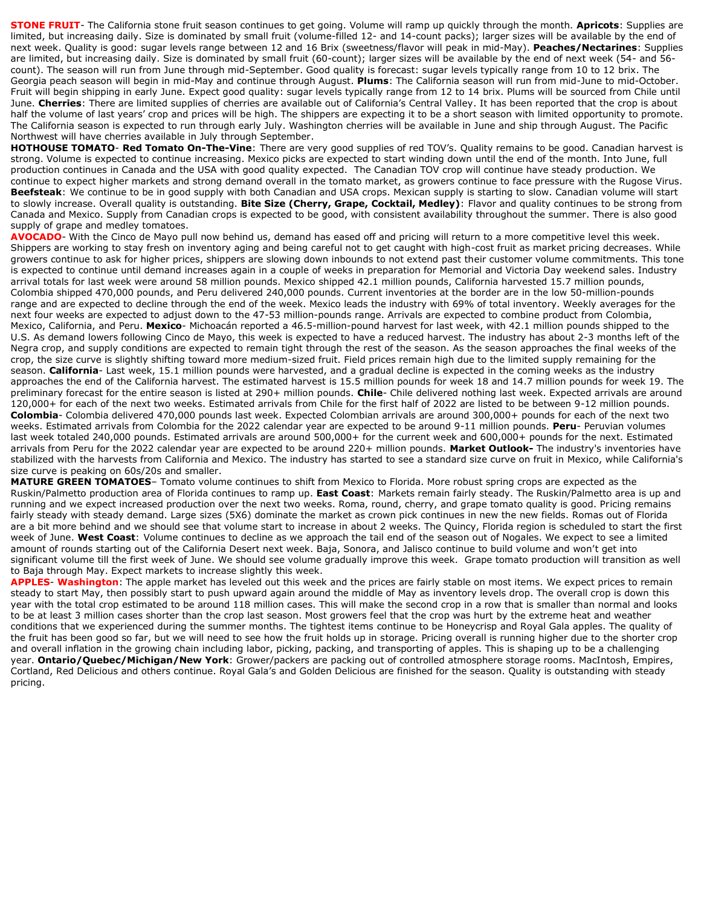**STONE FRUIT**- The California stone fruit season continues to get going. Volume will ramp up quickly through the month. **Apricots**: Supplies are limited, but increasing daily. Size is dominated by small fruit (volume-filled 12- and 14-count packs); larger sizes will be available by the end of next week. Quality is good: sugar levels range between 12 and 16 Brix (sweetness/flavor will peak in mid-May). **Peaches/Nectarines**: Supplies are limited, but increasing daily. Size is dominated by small fruit (60-count); larger sizes will be available by the end of next week (54- and 56 count). The season will run from June through mid-September. Good quality is forecast: sugar levels typically range from 10 to 12 brix. The Georgia peach season will begin in mid-May and continue through August. **Plums**: The California season will run from mid-June to mid-October. Fruit will begin shipping in early June. Expect good quality: sugar levels typically range from 12 to 14 brix. Plums will be sourced from Chile until June. **Cherries**: There are limited supplies of cherries are available out of California's Central Valley. It has been reported that the crop is about half the volume of last years' crop and prices will be high. The shippers are expecting it to be a short season with limited opportunity to promote. The California season is expected to run through early July. Washington cherries will be available in June and ship through August. The Pacific Northwest will have cherries available in July through September.

**HOTHOUSE TOMATO**- **Red Tomato On-The-Vine**: There are very good supplies of red TOV's. Quality remains to be good. Canadian harvest is strong. Volume is expected to continue increasing. Mexico picks are expected to start winding down until the end of the month. Into June, full production continues in Canada and the USA with good quality expected. The Canadian TOV crop will continue have steady production. We continue to expect higher markets and strong demand overall in the tomato market, as growers continue to face pressure with the Rugose Virus. **Beefsteak**: We continue to be in good supply with both Canadian and USA crops. Mexican supply is starting to slow. Canadian volume will start to slowly increase. Overall quality is outstanding. **Bite Size (Cherry, Grape, Cocktail, Medley)**: Flavor and quality continues to be strong from Canada and Mexico. Supply from Canadian crops is expected to be good, with consistent availability throughout the summer. There is also good supply of grape and medley tomatoes.

**AVOCADO**- With the Cinco de Mayo pull now behind us, demand has eased off and pricing will return to a more competitive level this week. Shippers are working to stay fresh on inventory aging and being careful not to get caught with high-cost fruit as market pricing decreases. While growers continue to ask for higher prices, shippers are slowing down inbounds to not extend past their customer volume commitments. This tone is expected to continue until demand increases again in a couple of weeks in preparation for Memorial and Victoria Day weekend sales. Industry arrival totals for last week were around 58 million pounds. Mexico shipped 42.1 million pounds, California harvested 15.7 million pounds, Colombia shipped 470,000 pounds, and Peru delivered 240,000 pounds. Current inventories at the border are in the low 50-million-pounds range and are expected to decline through the end of the week. Mexico leads the industry with 69% of total inventory. Weekly averages for the next four weeks are expected to adjust down to the 47-53 million-pounds range. Arrivals are expected to combine product from Colombia, Mexico, California, and Peru. **Mexico**- Michoacán reported a 46.5-million-pound harvest for last week, with 42.1 million pounds shipped to the U.S. As demand lowers following Cinco de Mayo, this week is expected to have a reduced harvest. The industry has about 2-3 months left of the Negra crop, and supply conditions are expected to remain tight through the rest of the season. As the season approaches the final weeks of the crop, the size curve is slightly shifting toward more medium-sized fruit. Field prices remain high due to the limited supply remaining for the season. **California**- Last week, 15.1 million pounds were harvested, and a gradual decline is expected in the coming weeks as the industry approaches the end of the California harvest. The estimated harvest is 15.5 million pounds for week 18 and 14.7 million pounds for week 19. The preliminary forecast for the entire season is listed at 290+ million pounds. **Chile**- Chile delivered nothing last week. Expected arrivals are around 120,000+ for each of the next two weeks. Estimated arrivals from Chile for the first half of 2022 are listed to be between 9-12 million pounds. **Colombia**- Colombia delivered 470,000 pounds last week. Expected Colombian arrivals are around 300,000+ pounds for each of the next two weeks. Estimated arrivals from Colombia for the 2022 calendar year are expected to be around 9-11 million pounds. **Peru**- Peruvian volumes last week totaled 240,000 pounds. Estimated arrivals are around 500,000+ for the current week and 600,000+ pounds for the next. Estimated arrivals from Peru for the 2022 calendar year are expected to be around 220+ million pounds. **Market Outlook-** The industry's inventories have stabilized with the harvests from California and Mexico. The industry has started to see a standard size curve on fruit in Mexico, while California's size curve is peaking on 60s/20s and smaller.

**MATURE GREEN TOMATOES**– Tomato volume continues to shift from Mexico to Florida. More robust spring crops are expected as the Ruskin/Palmetto production area of Florida continues to ramp up. **East Coast**: Markets remain fairly steady. The Ruskin/Palmetto area is up and running and we expect increased production over the next two weeks. Roma, round, cherry, and grape tomato quality is good. Pricing remains fairly steady with steady demand. Large sizes (5X6) dominate the market as crown pick continues in new the new fields. Romas out of Florida are a bit more behind and we should see that volume start to increase in about 2 weeks. The Quincy, Florida region is scheduled to start the first week of June. **West Coast**: Volume continues to decline as we approach the tail end of the season out of Nogales. We expect to see a limited amount of rounds starting out of the California Desert next week. Baja, Sonora, and Jalisco continue to build volume and won't get into significant volume till the first week of June. We should see volume gradually improve this week. Grape tomato production will transition as well to Baja through May. Expect markets to increase slightly this week.

**APPLES**- **Washington**: The apple market has leveled out this week and the prices are fairly stable on most items. We expect prices to remain steady to start May, then possibly start to push upward again around the middle of May as inventory levels drop. The overall crop is down this year with the total crop estimated to be around 118 million cases. This will make the second crop in a row that is smaller than normal and looks to be at least 3 million cases shorter than the crop last season. Most growers feel that the crop was hurt by the extreme heat and weather conditions that we experienced during the summer months. The tightest items continue to be Honeycrisp and Royal Gala apples. The quality of the fruit has been good so far, but we will need to see how the fruit holds up in storage. Pricing overall is running higher due to the shorter crop and overall inflation in the growing chain including labor, picking, packing, and transporting of apples. This is shaping up to be a challenging year. **Ontario/Quebec/Michigan/New York**: Grower/packers are packing out of controlled atmosphere storage rooms. MacIntosh, Empires, Cortland, Red Delicious and others continue. Royal Gala's and Golden Delicious are finished for the season. Quality is outstanding with steady pricing.